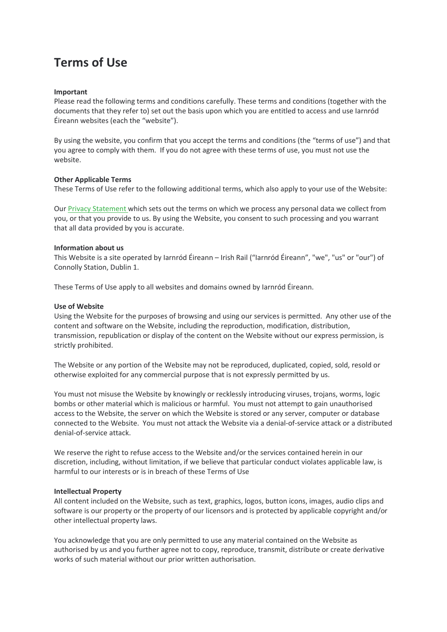# **Terms of Use**

#### **Important**

Please read the following terms and conditions carefully. These terms and conditions (together with the documents that they refer to) set out the basis upon which you are entitled to access and use Iarnród Éireann websites (each the "website").

By using the website, you confirm that you accept the terms and conditions (the "terms of use") and that you agree to comply with them. If you do not agree with these terms of use, you must not use the website.

#### **Other Applicable Terms**

These Terms of Use refer to the following additional terms, which also apply to your use of the Website:

Our [Privacy Statement](http://www.irishrail.ie/legal/terms-conditions#Privacy%20Statement) which sets out the terms on which we process any personal data we collect from you, or that you provide to us. By using the Website, you consent to such processing and you warrant that all data provided by you is accurate.

#### **Information about us**

This Website is a site operated by Iarnród Éireann – Irish Rail ("Iarnród Éireann", "we", "us" or "our") of Connolly Station, Dublin 1.

These Terms of Use apply to all websites and domains owned by Iarnród Éireann.

#### **Use of Website**

Using the Website for the purposes of browsing and using our services is permitted. Any other use of the content and software on the Website, including the reproduction, modification, distribution, transmission, republication or display of the content on the Website without our express permission, is strictly prohibited.

The Website or any portion of the Website may not be reproduced, duplicated, copied, sold, resold or otherwise exploited for any commercial purpose that is not expressly permitted by us.

You must not misuse the Website by knowingly or recklessly introducing viruses, trojans, worms, logic bombs or other material which is malicious or harmful. You must not attempt to gain unauthorised access to the Website, the server on which the Website is stored or any server, computer or database connected to the Website. You must not attack the Website via a denial-of-service attack or a distributed denial-of-service attack.

We reserve the right to refuse access to the Website and/or the services contained herein in our discretion, including, without limitation, if we believe that particular conduct violates applicable law, is harmful to our interests or is in breach of these Terms of Use

#### **Intellectual Property**

All content included on the Website, such as text, graphics, logos, button icons, images, audio clips and software is our property or the property of our licensors and is protected by applicable copyright and/or other intellectual property laws.

You acknowledge that you are only permitted to use any material contained on the Website as authorised by us and you further agree not to copy, reproduce, transmit, distribute or create derivative works of such material without our prior written authorisation.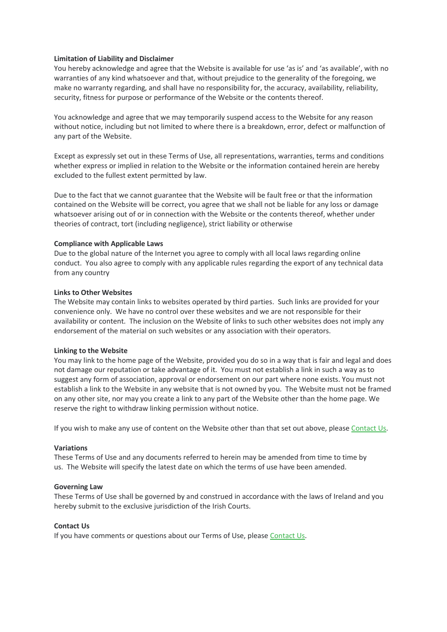#### **Limitation of Liability and Disclaimer**

You hereby acknowledge and agree that the Website is available for use 'as is' and 'as available', with no warranties of any kind whatsoever and that, without prejudice to the generality of the foregoing, we make no warranty regarding, and shall have no responsibility for, the accuracy, availability, reliability, security, fitness for purpose or performance of the Website or the contents thereof.

You acknowledge and agree that we may temporarily suspend access to the Website for any reason without notice, including but not limited to where there is a breakdown, error, defect or malfunction of any part of the Website.

Except as expressly set out in these Terms of Use, all representations, warranties, terms and conditions whether express or implied in relation to the Website or the information contained herein are hereby excluded to the fullest extent permitted by law.

Due to the fact that we cannot guarantee that the Website will be fault free or that the information contained on the Website will be correct, you agree that we shall not be liable for any loss or damage whatsoever arising out of or in connection with the Website or the contents thereof, whether under theories of contract, tort (including negligence), strict liability or otherwise

#### **Compliance with Applicable Laws**

Due to the global nature of the Internet you agree to comply with all local laws regarding online conduct. You also agree to comply with any applicable rules regarding the export of any technical data from any country

#### **Links to Other Websites**

The Website may contain links to websites operated by third parties. Such links are provided for your convenience only. We have no control over these websites and we are not responsible for their availability or content. The inclusion on the Website of links to such other websites does not imply any endorsement of the material on such websites or any association with their operators.

#### **Linking to the Website**

You may link to the home page of the Website, provided you do so in a way that is fair and legal and does not damage our reputation or take advantage of it. You must not establish a link in such a way as to suggest any form of association, approval or endorsement on our part where none exists. You must not establish a link to the Website in any website that is not owned by you. The Website must not be framed on any other site, nor may you create a link to any part of the Website other than the home page. We reserve the right to withdraw linking permission without notice.

If you wish to make any use of content on the Website other than that set out above, please [Contact Us.](http://www.irishrail.ie/legal/terms-conditions#Contact%20Us)

#### **Variations**

These Terms of Use and any documents referred to herein may be amended from time to time by us. The Website will specify the latest date on which the terms of use have been amended.

#### **Governing Law**

These Terms of Use shall be governed by and construed in accordance with the laws of Ireland and you hereby submit to the exclusive jurisdiction of the Irish Courts.

#### **Contact Us**

If you have comments or questions about our Terms of Use, please [Contact Us.](http://www.irishrail.ie/legal/terms-conditions#Contact%20Us)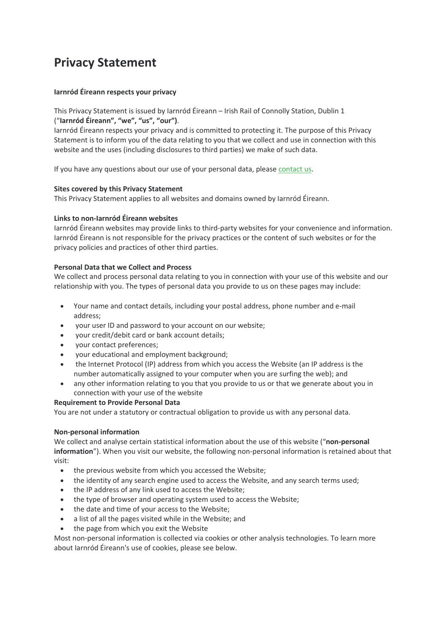# **Privacy Statement**

#### **Iarnród Éireann respects your privacy**

This Privacy Statement is issued by Iarnród Éireann – Irish Rail of Connolly Station, Dublin 1 ("**Iarnród Éireann", "we", "us", "our")**.

Iarnród Éireann respects your privacy and is committed to protecting it. The purpose of this Privacy Statement is to inform you of the data relating to you that we collect and use in connection with this website and the uses (including disclosures to third parties) we make of such data.

If you have any questions about our use of your personal data, please [contact us.](http://www.irishrail.ie/legal/terms-conditions#Contact%20Us)

#### **Sites covered by this Privacy Statement**

This Privacy Statement applies to all websites and domains owned by Iarnród Éireann.

#### **Links to non-Iarnród Éireann websites**

Iarnród Éireann websites may provide links to third-party websites for your convenience and information. Iarnród Éireann is not responsible for the privacy practices or the content of such websites or for the privacy policies and practices of other third parties.

#### **Personal Data that we Collect and Process**

We collect and process personal data relating to you in connection with your use of this website and our relationship with you. The types of personal data you provide to us on these pages may include:

- Your name and contact details, including your postal address, phone number and e-mail address;
- your user ID and password to your account on our website;
- your credit/debit card or bank account details;
- your contact preferences;
- your educational and employment background;
- the Internet Protocol (IP) address from which you access the Website (an IP address is the number automatically assigned to your computer when you are surfing the web); and
- any other information relating to you that you provide to us or that we generate about you in connection with your use of the website

#### **Requirement to Provide Personal Data**

You are not under a statutory or contractual obligation to provide us with any personal data.

#### **Non-personal information**

We collect and analyse certain statistical information about the use of this website ("**non-personal information**"). When you visit our website, the following non-personal information is retained about that visit:

- the previous website from which you accessed the Website;
- the identity of any search engine used to access the Website, and any search terms used;
- the IP address of any link used to access the Website;
- the type of browser and operating system used to access the Website;
- the date and time of your access to the Website;
- a list of all the pages visited while in the Website; and
- the page from which you exit the Website

Most non-personal information is collected via cookies or other analysis technologies. To learn more about Iarnród Éireann's use of cookies, please see below.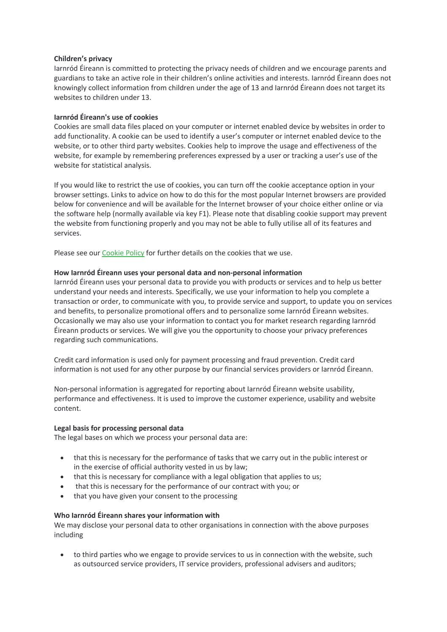#### **Children's privacy**

Iarnród Éireann is committed to protecting the privacy needs of children and we encourage parents and guardians to take an active role in their children's online activities and interests. Iarnród Éireann does not knowingly collect information from children under the age of 13 and Iarnród Éireann does not target its websites to children under 13.

#### **Iarnród Éireann's use of cookies**

Cookies are small data files placed on your computer or internet enabled device by websites in order to add functionality. A cookie can be used to identify a user's computer or internet enabled device to the website, or to other third party websites. Cookies help to improve the usage and effectiveness of the website, for example by remembering preferences expressed by a user or tracking a user's use of the website for statistical analysis.

If you would like to restrict the use of cookies, you can turn off the cookie acceptance option in your browser settings. Links to advice on how to do this for the most popular Internet browsers are provided below for convenience and will be available for the Internet browser of your choice either online or via the software help (normally available via key F1). Please note that disabling cookie support may prevent the website from functioning properly and you may not be able to fully utilise all of its features and services.

Please see our [Cookie Policy](http://www.irishrail.ie/legal/terms-conditions#%20Cookie%20Policy) for further details on the cookies that we use.

#### **How Iarnród Éireann uses your personal data and non-personal information**

Iarnród Éireann uses your personal data to provide you with products or services and to help us better understand your needs and interests. Specifically, we use your information to help you complete a transaction or order, to communicate with you, to provide service and support, to update you on services and benefits, to personalize promotional offers and to personalize some Iarnród Éireann websites. Occasionally we may also use your information to contact you for market research regarding Iarnród Éireann products or services. We will give you the opportunity to choose your privacy preferences regarding such communications.

Credit card information is used only for payment processing and fraud prevention. Credit card information is not used for any other purpose by our financial services providers or Iarnród Éireann.

Non-personal information is aggregated for reporting about Iarnród Éireann website usability, performance and effectiveness. It is used to improve the customer experience, usability and website content.

#### **Legal basis for processing personal data**

The legal bases on which we process your personal data are:

- that this is necessary for the performance of tasks that we carry out in the public interest or in the exercise of official authority vested in us by law;
- that this is necessary for compliance with a legal obligation that applies to us;
- that this is necessary for the performance of our contract with you; or
- that you have given your consent to the processing

#### **Who Iarnród Éireann shares your information with**

We may disclose your personal data to other organisations in connection with the above purposes including

 to third parties who we engage to provide services to us in connection with the website, such as outsourced service providers, IT service providers, professional advisers and auditors;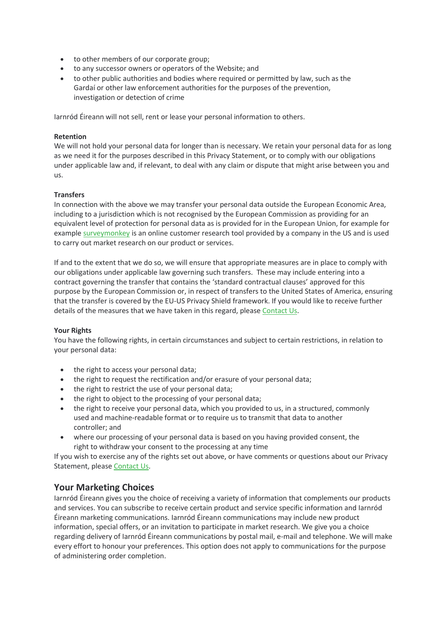- to other members of our corporate group;
- to any successor owners or operators of the Website; and
- to other public authorities and bodies where required or permitted by law, such as the Gardaí or other law enforcement authorities for the purposes of the prevention, investigation or detection of crime

Iarnród Éireann will not sell, rent or lease your personal information to others.

#### **Retention**

We will not hold your personal data for longer than is necessary. We retain your personal data for as long as we need it for the purposes described in this Privacy Statement, or to comply with our obligations under applicable law and, if relevant, to deal with any claim or dispute that might arise between you and us.

#### **Transfers**

In connection with the above we may transfer your personal data outside the European Economic Area, including to a jurisdiction which is not recognised by the European Commission as providing for an equivalent level of protection for personal data as is provided for in the European Union, for example for example [surveymonkey](https://www.surveymonkey.com/) is an online customer research tool provided by a company in the US and is used to carry out market research on our product or services.

If and to the extent that we do so, we will ensure that appropriate measures are in place to comply with our obligations under applicable law governing such transfers. These may include entering into a contract governing the transfer that contains the 'standard contractual clauses' approved for this purpose by the European Commission or, in respect of transfers to the United States of America, ensuring that the transfer is covered by the EU-US Privacy Shield framework. If you would like to receive further details of the measures that we have taken in this regard, please [Contact Us.](http://www.irishrail.ie/legal/terms-conditions#Contact%20Us)

#### **Your Rights**

You have the following rights, in certain circumstances and subject to certain restrictions, in relation to your personal data:

- the right to access your personal data;
- the right to request the rectification and/or erasure of your personal data;
- the right to restrict the use of your personal data;
- the right to object to the processing of your personal data;
- the right to receive your personal data, which you provided to us, in a structured, commonly used and machine-readable format or to require us to transmit that data to another controller; and
- where our processing of your personal data is based on you having provided consent, the right to withdraw your consent to the processing at any time

If you wish to exercise any of the rights set out above, or have comments or questions about our Privacy Statement, please [Contact Us.](http://www.irishrail.ie/legal/terms-conditions#Contact%20Us)

## **Your Marketing Choices**

Iarnród Éireann gives you the choice of receiving a variety of information that complements our products and services. You can subscribe to receive certain product and service specific information and Iarnród Éireann marketing communications. Iarnród Éireann communications may include new product information, special offers, or an invitation to participate in market research. We give you a choice regarding delivery of Iarnród Éireann communications by postal mail, e-mail and telephone. We will make every effort to honour your preferences. This option does not apply to communications for the purpose of administering order completion.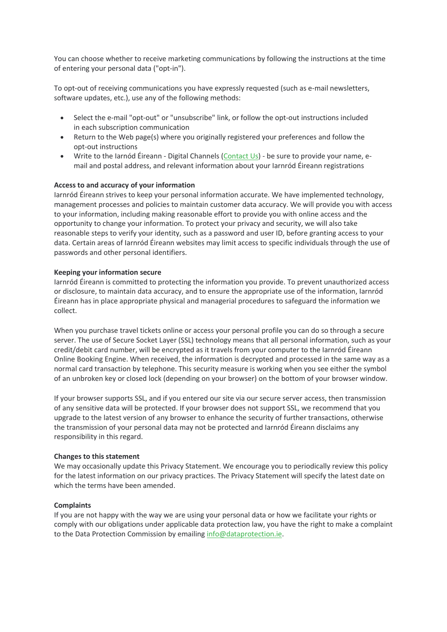You can choose whether to receive marketing communications by following the instructions at the time of entering your personal data ("opt-in").

To opt-out of receiving communications you have expressly requested (such as e-mail newsletters, software updates, etc.), use any of the following methods:

- Select the e-mail "opt-out" or "unsubscribe" link, or follow the opt-out instructions included in each subscription communication
- Return to the Web page(s) where you originally registered your preferences and follow the opt-out instructions
- Write to the Iarnód Éireann Digital Channels [\(Contact Us\)](http://www.irishrail.ie/legal/terms-conditions#Contact%20Us) be sure to provide your name, email and postal address, and relevant information about your Iarnród Éireann registrations

#### **Access to and accuracy of your information**

Iarnród Éireann strives to keep your personal information accurate. We have implemented technology, management processes and policies to maintain customer data accuracy. We will provide you with access to your information, including making reasonable effort to provide you with online access and the opportunity to change your information. To protect your privacy and security, we will also take reasonable steps to verify your identity, such as a password and user ID, before granting access to your data. Certain areas of Iarnród Éireann websites may limit access to specific individuals through the use of passwords and other personal identifiers.

#### **Keeping your information secure**

Iarnród Éireann is committed to protecting the information you provide. To prevent unauthorized access or disclosure, to maintain data accuracy, and to ensure the appropriate use of the information, Iarnród Éireann has in place appropriate physical and managerial procedures to safeguard the information we collect.

When you purchase travel tickets online or access your personal profile you can do so through a secure server. The use of Secure Socket Layer (SSL) technology means that all personal information, such as your credit/debit card number, will be encrypted as it travels from your computer to the Iarnród Éireann Online Booking Engine. When received, the information is decrypted and processed in the same way as a normal card transaction by telephone. This security measure is working when you see either the symbol of an unbroken key or closed lock (depending on your browser) on the bottom of your browser window.

If your browser supports SSL, and if you entered our site via our secure server access, then transmission of any sensitive data will be protected. If your browser does not support SSL, we recommend that you upgrade to the latest version of any browser to enhance the security of further transactions, otherwise the transmission of your personal data may not be protected and Iarnród Éireann disclaims any responsibility in this regard.

#### **Changes to this statement**

We may occasionally update this Privacy Statement. We encourage you to periodically review this policy for the latest information on our privacy practices. The Privacy Statement will specify the latest date on which the terms have been amended.

#### **Complaints**

If you are not happy with the way we are using your personal data or how we facilitate your rights or comply with our obligations under applicable data protection law, you have the right to make a complaint to the Data Protection Commission by emailing [info@dataprotection.ie.](mailto:info@dataprotection.ie)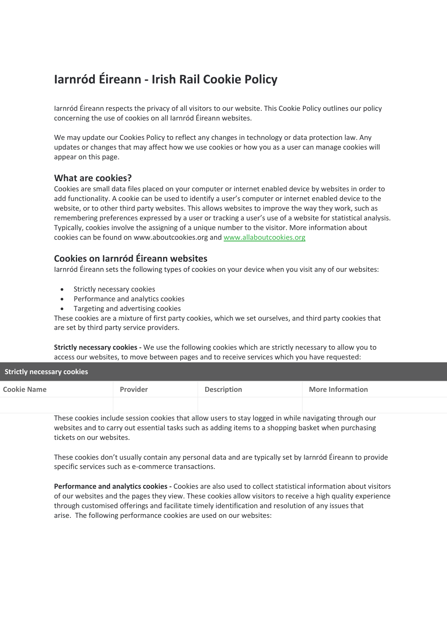# **Iarnród Éireann - Irish Rail Cookie Policy**

Iarnród Éireann respects the privacy of all visitors to our website. This Cookie Policy outlines our policy concerning the use of cookies on all Iarnród Éireann websites.

We may update our Cookies Policy to reflect any changes in technology or data protection law. Any updates or changes that may affect how we use cookies or how you as a user can manage cookies will appear on this page.

### **What are cookies?**

Cookies are small data files placed on your computer or internet enabled device by websites in order to add functionality. A cookie can be used to identify a user's computer or internet enabled device to the website, or to other third party websites. This allows websites to improve the way they work, such as remembering preferences expressed by a user or tracking a user's use of a website for statistical analysis. Typically, cookies involve the assigning of a unique number to the visitor. More information about cookies can be found on www.aboutcookies.org and [www.allaboutcookies.org](http://www.allaboutcookies.org/)

## **Cookies on Iarnród Éireann websites**

Iarnród Éireann sets the following types of cookies on your device when you visit any of our websites:

- Strictly necessary cookies
- Performance and analytics cookies
- Targeting and advertising cookies

These cookies are a mixture of first party cookies, which we set ourselves, and third party cookies that are set by third party service providers.

**Strictly necessary cookies -** We use the following cookies which are strictly necessary to allow you to access our websites, to move between pages and to receive services which you have requested:

| <b>Strictly necessary cookies</b> |          |                    |                         |  |  |  |
|-----------------------------------|----------|--------------------|-------------------------|--|--|--|
| <b>Cookie Name</b>                | Provider | <b>Description</b> | <b>More Information</b> |  |  |  |
|                                   |          |                    |                         |  |  |  |

These cookies include session cookies that allow users to stay logged in while navigating through our websites and to carry out essential tasks such as adding items to a shopping basket when purchasing tickets on our websites.

These cookies don't usually contain any personal data and are typically set by Iarnród Éireann to provide specific services such as e-commerce transactions.

**Performance and analytics cookies -** Cookies are also used to collect statistical information about visitors of our websites and the pages they view. These cookies allow visitors to receive a high quality experience through customised offerings and facilitate timely identification and resolution of any issues that arise. The following performance cookies are used on our websites: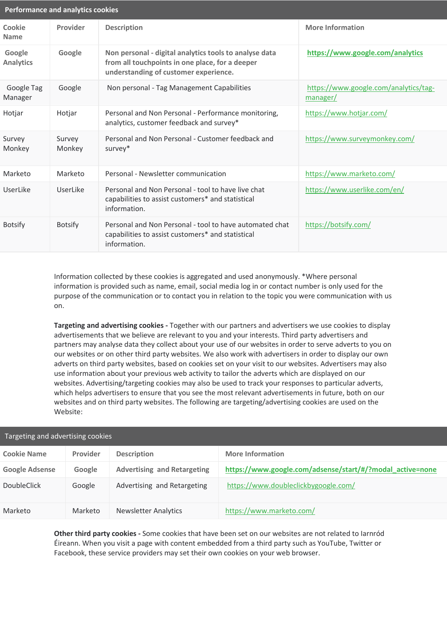| <b>Performance and analytics cookies</b> |                  |                                                                                                                                                    |                                                   |  |
|------------------------------------------|------------------|----------------------------------------------------------------------------------------------------------------------------------------------------|---------------------------------------------------|--|
| Cookie<br><b>Name</b>                    | Provider         | <b>Description</b>                                                                                                                                 | <b>More Information</b>                           |  |
| Google<br><b>Analytics</b>               | Google           | Non personal - digital analytics tools to analyse data<br>from all touchpoints in one place, for a deeper<br>understanding of customer experience. | https://www.google.com/analytics                  |  |
| Google Tag<br>Manager                    | Google           | Non personal - Tag Management Capabilities                                                                                                         | https://www.google.com/analytics/tag-<br>manager/ |  |
| Hotjar                                   | Hotjar           | Personal and Non Personal - Performance monitoring,<br>analytics, customer feedback and survey*                                                    | https://www.hotjar.com/                           |  |
| Survey<br>Monkey                         | Survey<br>Monkey | Personal and Non Personal - Customer feedback and<br>survey*                                                                                       | https://www.surveymonkey.com/                     |  |
| Marketo                                  | Marketo          | Personal - Newsletter communication                                                                                                                | https://www.marketo.com/                          |  |
| UserLike                                 | UserLike         | Personal and Non Personal - tool to have live chat<br>capabilities to assist customers* and statistical<br>information.                            | https://www.userlike.com/en/                      |  |
| <b>Botsify</b>                           | <b>Botsify</b>   | Personal and Non Personal - tool to have automated chat<br>capabilities to assist customers* and statistical<br>information.                       | https://botsify.com/                              |  |

Information collected by these cookies is aggregated and used anonymously. \*Where personal information is provided such as name, email, social media log in or contact number is only used for the purpose of the communication or to contact you in relation to the topic you were communication with us on.

**Targeting and advertising cookies -** Together with our partners and advertisers we use cookies to display advertisements that we believe are relevant to you and your interests. Third party advertisers and partners may analyse data they collect about your use of our websites in order to serve adverts to you on our websites or on other third party websites. We also work with advertisers in order to display our own adverts on third party websites, based on cookies set on your visit to our websites. Advertisers may also use information about your previous web activity to tailor the adverts which are displayed on our websites. Advertising/targeting cookies may also be used to track your responses to particular adverts, which helps advertisers to ensure that you see the most relevant advertisements in future, both on our websites and on third party websites. The following are targeting/advertising cookies are used on the Website:

| Targeting and advertising cookies |                 |                                    |                                                           |  |  |
|-----------------------------------|-----------------|------------------------------------|-----------------------------------------------------------|--|--|
| <b>Cookie Name</b>                | <b>Provider</b> | <b>Description</b>                 | <b>More Information</b>                                   |  |  |
| <b>Google Adsense</b>             | Google          | <b>Advertising and Retargeting</b> | https://www.google.com/adsense/start/#/?modal_active=none |  |  |
| <b>DoubleClick</b>                | Google          | Advertising and Retargeting        | https://www.doubleclickbygoogle.com/                      |  |  |
| Marketo                           | Marketo         | <b>Newsletter Analytics</b>        | https://www.marketo.com/                                  |  |  |

**Other third party cookies -** Some cookies that have been set on our websites are not related to Iarnród Éireann. When you visit a page with content embedded from a third party such as YouTube, Twitter or Facebook, these service providers may set their own cookies on your web browser.